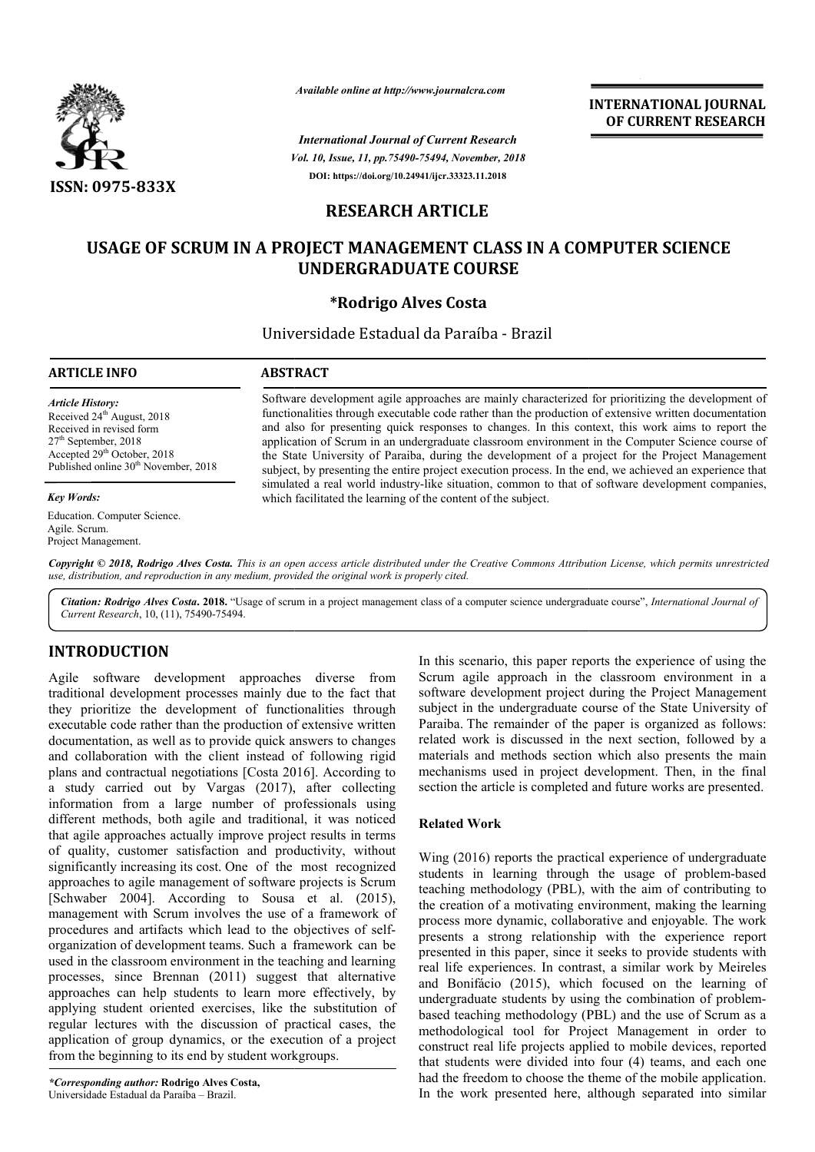

*Vol. 10, Issue, 11, pp.75490-75494, November, 2018 International Journal of Current Research* **DOI: https://doi.org/10.24941/ijcr.33323.11.2018**

**INTERNATIONAL JOURNAL OF CURRENT RESEARCH**

## **RESEARCH ARTICLE**

# **USAGE OF SCRUM IN A PROJECT MANAGEMENT CLASS IN A COMPUTER SCIENCE UNDERGRADUATE COURSE**

## **\*Rodrigo Alves Costa**

Universidade Estadual da Paraíba - Brazil

## **ARTICLE INFO ABSTRACT**

*Article History:* Received 24<sup>th</sup> August, 2018 Received in revised form 27th September, 2018 Accepted 29<sup>th</sup> October, 2018 Published online 30<sup>th</sup> November, 2018

### *Key Words:*

Education. Computer Science. Agile. Scrum. Project Management.

Software development agile approaches are mainly characterized for prioritizing the development of functionalities through executable code rather than the production of extensive written documentation and also for presenting quick responses to changes. In this context, this work aims to report the application of Scrum in an undergraduate classroom environment in the Computer Science course of the State University of Paraiba, during the development of a project for the Project Management subject, by presenting the entire project execution process. In the end, we achieved an experience that simulated a real world industry-like situation, common to that of software development companies, which facilitated the learning of the content of the subject. Software development agile approaches are mainly characterized for prioritizing the development of functionalities through executable code rather than the production of extensive written documentation and also for presenti Available online at http://www.journalcra.com<br>
International Journal of Current Resear<br>
Vol. 10, Issue, 11, pp.75490-75494, November,<br>
DOI: https://doi.org/10.24941/ijcr.33323.11.2018<br>
RESEARCH ARTICLE<br>
IN A PROJECT MANAGE

Copyright © 2018, Rodrigo Alves Costa. This is an open access article distributed under the Creative Commons Attribution License, which permits unrestrictea *use, distribution, and reproduction in any medium, provided the original work is properly cited.*

Citation: Rodrigo Alves Costa. 2018. "Usage of scrum in a project management class of a computer science undergraduate course", *International Journal of Current Research*, 10, (11), 75490-75494.

# **INTRODUCTION**

Agile software development approaches diverse from traditional development processes mainly due to the fact that they prioritize the development of functionalities through executable code rather than the production of extensive written documentation, as well as to provide quick answers to changes and collaboration with the client instead of following rigid plans and contractual negotiations [Costa 2016]. According to a study carried out by Vargas (2017), after collecting documentation, as well as to provide quick answers to changes<br>and collaboration with the client instead of following rigid<br>plans and contractual negotiations [Costa 2016]. According to<br>a study carried out by Vargas (2017), different methods, both agile and traditional, it was noticed that agile approaches actually improve project results in terms of quality, customer satisfaction and productivity, without significantly increasing its cost. One of the most recognized approaches to agile management of software projects is Scrum [Schwaber 2004]. According to Sousa et al. (2015), management with Scrum involves the use of a framework of procedures and artifacts which lead to the objectives of selforganization of development teams. Such a framework can be used in the classroom environment in the teaching and learning processes, since Brennan (2011) suggest that alternative approaches can help students to learn more effectively, by applying student oriented exercises, like the substitution of regular lectures with the discussion of practical cases, the application of group dynamics, or the execution of a project from the beginning to its end by student workgroups. In this scenario, this paper reports the experience of using the<br>ses mainly due to the fact that software development proid during the Project Management<br>are are mainly due to the fact that software development project dur

Scrum agile approach in the classroom environment in a software development project during the Project Management In this scenario, this paper reports the experience of using the Scrum agile approach in the classroom environment in a software development project during the Project Management subject in the undergraduate course of the Paraiba. The remainder of the paper is organized as follows: related work is discussed in the next section, followed by a materials and methods section which also presents the main Paraiba. The remainder of the paper is organized as follows:<br>related work is discussed in the next section, followed by a<br>materials and methods section which also presents the main<br>mechanisms used in project development. T section the article is completed and future works are presented.

## **Related Work**

Wing (2016) reports the practical experience of undergraduate section the article is completed and future works are presented.<br> **Related Work**<br>
Wing (2016) reports the practical experience of undergraduate<br>
students in learning through the usage of problem-based teaching methodology (PBL), with the aim of contributing to the creation of a motivating environment, making the learning process more dynamic, collaborative and enjoyable. The work presents a strong relationship with the experience report presented in this paper, since it seeks to provide students with real life experiences. In contrast, a similar work by Meireles and Bonifácio (2015), which focused on the learning of real life experiences. In contrast, a similar work by Meireles<br>and Bonifácio (2015), which focused on the learning of<br>undergraduate students by using the combination of problembased teaching methodology (PBL) and the use of Scrum as a methodological tool for Project Management in order to construct real life projects applied to mobile devices, reported that students were divided into four (4) teams, and each one had the freedom to choose the theme of the mobile application. In the work presented here, although separated into similar on of a motivating environment, making the learning<br>nore dynamic, collaborative and enjoyable. The work<br>a strong relationship with the experience report<br>in this paper, since it seeks to provide students with INTERNATIONAL JOURNAL<br>
or CURRENT RESEARCH<br>
or CURRENT RESEARCH<br>
or CURRENT RESEARCH<br>
car, 2018<br>
3018<br>
319<br>
32<br>
32<br>
4. ASS IN A COMPUTER SCIENCE<br>
RSE<br>
RSE<br>
32<br>
32<br>
32<br>
32<br>
4. ASS IN A COMPUTER SCIENCE<br>
RSE<br>
23<br>
32<br>
32<br>
32<br>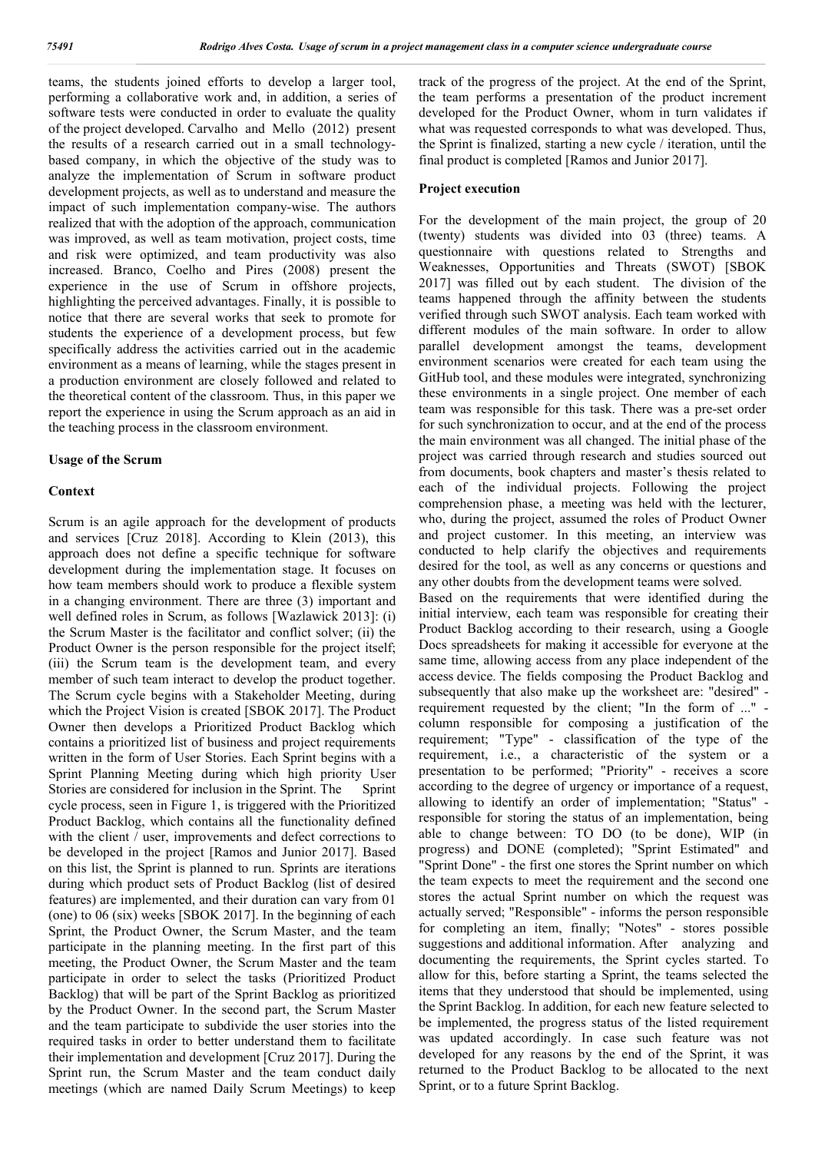teams, the students joined efforts to develop a larger tool, performing a collaborative work and, in addition, a series of software tests were conducted in order to evaluate the quality of the project developed. Carvalho and Mello (2012) present the results of a research carried out in a small technologybased company, in which the objective of the study was to analyze the implementation of Scrum in software product development projects, as well as to understand and measure the impact of such implementation company-wise. The authors realized that with the adoption of the approach, communication was improved, as well as team motivation, project costs, time and risk were optimized, and team productivity was also increased. Branco, Coelho and Pires (2008) present the experience in the use of Scrum in offshore projects, highlighting the perceived advantages. Finally, it is possible to notice that there are several works that seek to promote for students the experience of a development process, but few specifically address the activities carried out in the academic environment as a means of learning, while the stages present in a production environment are closely followed and related to the theoretical content of the classroom. Thus, in this paper we report the experience in using the Scrum approach as an aid in the teaching process in the classroom environment.

#### **Usage of the Scrum**

#### **Context**

Scrum is an agile approach for the development of products and services [Cruz 2018]. According to Klein (2013), this approach does not define a specific technique for software development during the implementation stage. It focuses on how team members should work to produce a flexible system in a changing environment. There are three (3) important and well defined roles in Scrum, as follows [Wazlawick 2013]: (i) the Scrum Master is the facilitator and conflict solver; (ii) the Product Owner is the person responsible for the project itself; (iii) the Scrum team is the development team, and every member of such team interact to develop the product together. The Scrum cycle begins with a Stakeholder Meeting, during which the Project Vision is created [SBOK 2017]. The Product Owner then develops a Prioritized Product Backlog which contains a prioritized list of business and project requirements written in the form of User Stories. Each Sprint begins with a Sprint Planning Meeting during which high priority User Stories are considered for inclusion in the Sprint. The Sprint cycle process, seen in Figure 1, is triggered with the Prioritized Product Backlog, which contains all the functionality defined with the client / user, improvements and defect corrections to be developed in the project [Ramos and Junior 2017]. Based on this list, the Sprint is planned to run. Sprints are iterations during which product sets of Product Backlog (list of desired features) are implemented, and their duration can vary from 01 (one) to 06 (six) weeks [SBOK 2017]. In the beginning of each Sprint, the Product Owner, the Scrum Master, and the team participate in the planning meeting. In the first part of this meeting, the Product Owner, the Scrum Master and the team participate in order to select the tasks (Prioritized Product Backlog) that will be part of the Sprint Backlog as prioritized by the Product Owner. In the second part, the Scrum Master and the team participate to subdivide the user stories into the required tasks in order to better understand them to facilitate their implementation and development [Cruz 2017]. During the Sprint run, the Scrum Master and the team conduct daily meetings (which are named Daily Scrum Meetings) to keep

track of the progress of the project. At the end of the Sprint, the team performs a presentation of the product increment developed for the Product Owner, whom in turn validates if what was requested corresponds to what was developed. Thus, the Sprint is finalized, starting a new cycle / iteration, until the final product is completed [Ramos and Junior 2017].

#### **Project execution**

For the development of the main project, the group of 20 (twenty) students was divided into 03 (three) teams. A questionnaire with questions related to Strengths and Weaknesses, Opportunities and Threats (SWOT) [SBOK 2017] was filled out by each student. The division of the teams happened through the affinity between the students verified through such SWOT analysis. Each team worked with different modules of the main software. In order to allow parallel development amongst the teams, development environment scenarios were created for each team using the GitHub tool, and these modules were integrated, synchronizing these environments in a single project. One member of each team was responsible for this task. There was a pre-set order for such synchronization to occur, and at the end of the process the main environment was all changed. The initial phase of the project was carried through research and studies sourced out from documents, book chapters and master's thesis related to each of the individual projects. Following the project comprehension phase, a meeting was held with the lecturer, who, during the project, assumed the roles of Product Owner and project customer. In this meeting, an interview was conducted to help clarify the objectives and requirements desired for the tool, as well as any concerns or questions and any other doubts from the development teams were solved. Based on the requirements that were identified during the

initial interview, each team was responsible for creating their Product Backlog according to their research, using a Google Docs spreadsheets for making it accessible for everyone at the same time, allowing access from any place independent of the access device. The fields composing the Product Backlog and subsequently that also make up the worksheet are: "desired" requirement requested by the client; "In the form of ..." column responsible for composing a justification of the requirement; "Type" - classification of the type of the requirement, i.e., a characteristic of the system or a presentation to be performed; "Priority" - receives a score according to the degree of urgency or importance of a request, allowing to identify an order of implementation; "Status" responsible for storing the status of an implementation, being able to change between: TO DO (to be done), WIP (in progress) and DONE (completed); "Sprint Estimated" and "Sprint Done" - the first one stores the Sprint number on which the team expects to meet the requirement and the second one stores the actual Sprint number on which the request was actually served; "Responsible" - informs the person responsible for completing an item, finally; "Notes" - stores possible suggestions and additional information. After analyzing and documenting the requirements, the Sprint cycles started. To allow for this, before starting a Sprint, the teams selected the items that they understood that should be implemented, using the Sprint Backlog. In addition, for each new feature selected to be implemented, the progress status of the listed requirement was updated accordingly. In case such feature was not developed for any reasons by the end of the Sprint, it was returned to the Product Backlog to be allocated to the next Sprint, or to a future Sprint Backlog.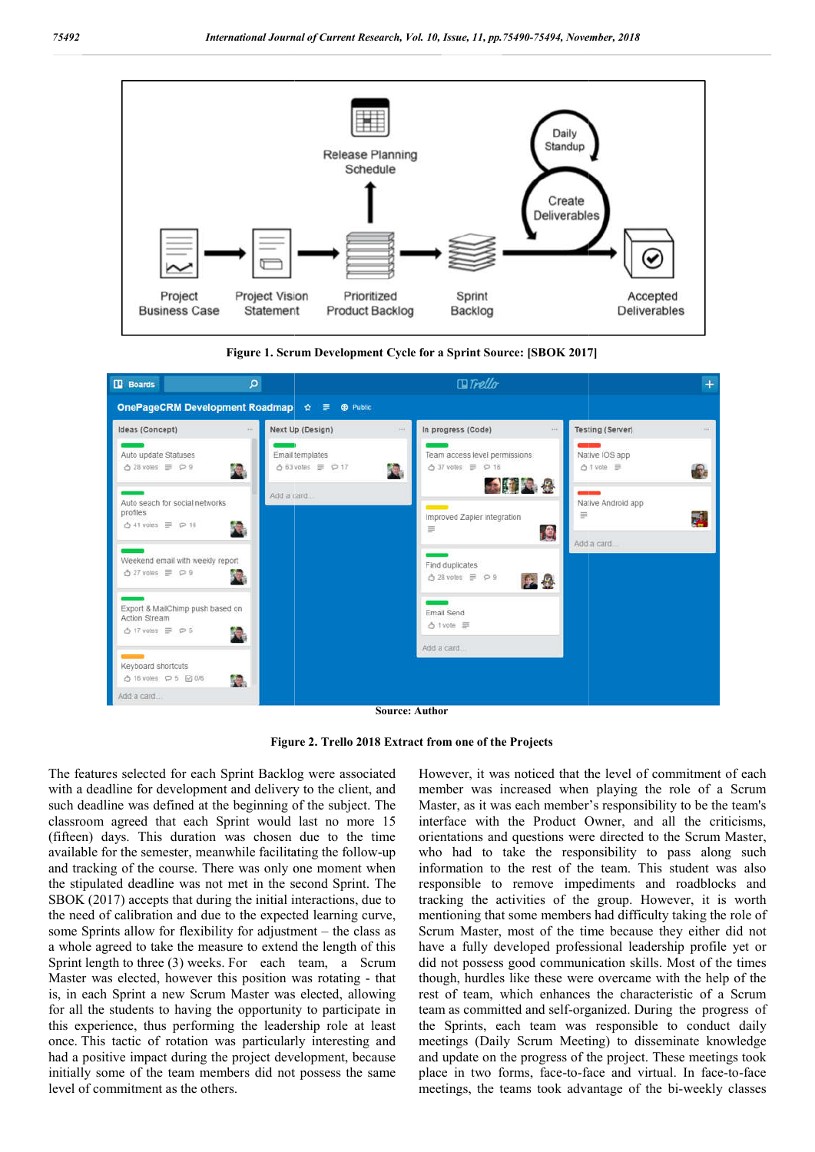

**Figure 1. Scrum Development Cycle for a Sprint Source: [SBOK 2017]**

| <b>ID</b> Boards                                                                                  | م                                           | $I$ Trello                                                                           |                                                    |
|---------------------------------------------------------------------------------------------------|---------------------------------------------|--------------------------------------------------------------------------------------|----------------------------------------------------|
|                                                                                                   | OnePageCRM Development Roadmap ☆ ■ + Public |                                                                                      |                                                    |
| Ideas (Concept)                                                                                   | Next Up (Design)<br>101                     | In progress (Code)<br>100                                                            | Testing (Server)<br>$100 + 100$<br>148.            |
| Auto update Statuses<br>$628$ votes $\equiv$ $\wp$ 9                                              | Email templates<br>△63 votes ■ P 17<br>Ãе,  | Team access level permissions<br>$\triangle$ 37 votes $\equiv$ $\varphi$ 16<br>41 角象 | Native IOS app<br>△ 1 vote 三                       |
| Auto seach for social networks<br>profiles<br>$\triangle$ 41 votes $\equiv$ $\heartsuit$ 16       | Add a card<br>jе,                           | $\sim$<br>Improved Zapier integration<br>Ξ                                           | Native Android app<br>ρ<br>$\equiv$<br><u>, e,</u> |
| Weekend email with weekly report<br>$0.27$ votes $\equiv$ $\wp$ 9                                 | √e,                                         | Find duplicates<br>ô 28 votes <i>≡</i> P 9                                           | Add a card.<br>26                                  |
| Export & MailChimp push based on<br>Action Stream<br>$\triangle$ 17 votes $\equiv$ $\heartsuit$ 5 | ře,                                         | Fmail Send<br>△ 1 vote 三                                                             |                                                    |
| Keyboard shortcuts<br>△ 16 votes Q 5 2 0/6                                                        | √e.                                         | Add a card.                                                                          |                                                    |
| Add a card                                                                                        |                                             | <b>Source: Author</b>                                                                |                                                    |

**Figure 2 2. Trello 2018 Extract from one of the Projects**

The features selected for each Sprint Backlog were associated with a deadline for development and delivery to the client, and such deadline was defined at the beginning of the subject. The classroom agreed that each Sprint would last no more 15 (fifteen) days. This duration was chosen due to the time available for the semester, meanwhile facilitating the follow-up available for the semester, meanwhile facilitating the follow and tracking of the course. There was only one moment when the stipulated deadline was not met in the second Sprint. The SBOK (2017) accepts that during the initial interactions, due to the need of calibration and due to the expected learning curve, some Sprints allow for flexibility for adjustment – the class as a whole agreed to take the measure to extend the length of this Sprint length to three (3) weeks. For each team, a Scrum Master was elected, however this position was rotating - that is, in each Sprint a new Scrum Master was elected, allowing for all the students to having the opportunity to participate in this experience, thus performing the leadership role at least once. This tactic of rotation was particularly interesting and had a positive impact during the project development, because initially some of the team members did not possess the same level of commitment as the others.

However, it was noticed that the level of commitment of each member was increased when playing the role of a Scrum Master, as it was each member's responsibility to be the team's interface with the Product Owner, and all the criticisms, orientations and questions were directed to the Scrum Master, who had to take the responsibility to pass along such information to the rest of the team. This student was also responsible to remove impediments and roadblocks and However, it was noticed that the level of commitment of each member was increased when playing the role of a Scrum Master, as it was each member's responsibility to be the team's interface with the Product Owner, and all t mentioning that some members had difficulty taking the role of Scrum Master, most of the time because they either did not have a fully developed professional leadership profile yet or did not possess good communication skills. Most of the times though, hurdles like these were overcame with the help of the rest of team, which enhances the characteristic of a Scrum mentioning that some members had difficulty taking the role of Scrum Master, most of the time because they either did not have a fully developed professional leadership profile yet or did not possess good communication ski the Sprints, each team was responsible to conduct daily meetings (Daily Scrum Meeting) to disseminate knowledge and update on the progress of the project. These meetings took and update on the progress of the project. These meetings took place in two forms, face-to-face and virtual. In face-to-face meetings, the teams took advantage of the bi-weekly classes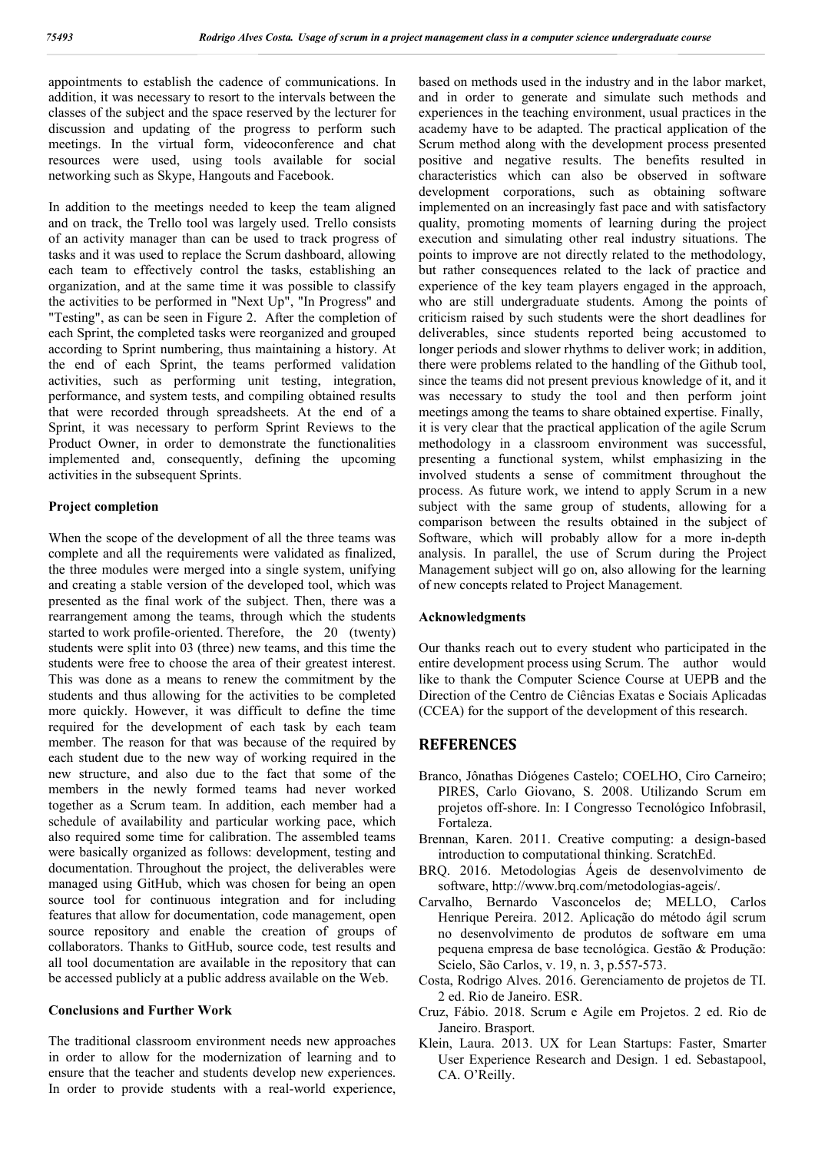appointments to establish the cadence of communications. In addition, it was necessary to resort to the intervals between the classes of the subject and the space reserved by the lecturer for discussion and updating of the progress to perform such meetings. In the virtual form, videoconference and chat resources were used, using tools available for social networking such as Skype, Hangouts and Facebook.

In addition to the meetings needed to keep the team aligned and on track, the Trello tool was largely used. Trello consists of an activity manager than can be used to track progress of tasks and it was used to replace the Scrum dashboard, allowing each team to effectively control the tasks, establishing an organization, and at the same time it was possible to classify the activities to be performed in "Next Up", "In Progress" and "Testing", as can be seen in Figure 2. After the completion of each Sprint, the completed tasks were reorganized and grouped according to Sprint numbering, thus maintaining a history. At the end of each Sprint, the teams performed validation activities, such as performing unit testing, integration, performance, and system tests, and compiling obtained results that were recorded through spreadsheets. At the end of a Sprint, it was necessary to perform Sprint Reviews to the Product Owner, in order to demonstrate the functionalities implemented and, consequently, defining the upcoming activities in the subsequent Sprints.

#### **Project completion**

When the scope of the development of all the three teams was complete and all the requirements were validated as finalized, the three modules were merged into a single system, unifying and creating a stable version of the developed tool, which was presented as the final work of the subject. Then, there was a rearrangement among the teams, through which the students started to work profile-oriented. Therefore, the 20 (twenty) students were split into 03 (three) new teams, and this time the students were free to choose the area of their greatest interest. This was done as a means to renew the commitment by the students and thus allowing for the activities to be completed more quickly. However, it was difficult to define the time required for the development of each task by each team member. The reason for that was because of the required by each student due to the new way of working required in the new structure, and also due to the fact that some of the members in the newly formed teams had never worked together as a Scrum team. In addition, each member had a schedule of availability and particular working pace, which also required some time for calibration. The assembled teams were basically organized as follows: development, testing and documentation. Throughout the project, the deliverables were managed using GitHub, which was chosen for being an open source tool for continuous integration and for including features that allow for documentation, code management, open source repository and enable the creation of groups of collaborators. Thanks to GitHub, source code, test results and all tool documentation are available in the repository that can be accessed publicly at a public address available on the Web.

### **Conclusions and Further Work**

The traditional classroom environment needs new approaches in order to allow for the modernization of learning and to ensure that the teacher and students develop new experiences. In order to provide students with a real-world experience, based on methods used in the industry and in the labor market, and in order to generate and simulate such methods and experiences in the teaching environment, usual practices in the academy have to be adapted. The practical application of the Scrum method along with the development process presented positive and negative results. The benefits resulted in characteristics which can also be observed in software development corporations, such as obtaining software implemented on an increasingly fast pace and with satisfactory quality, promoting moments of learning during the project execution and simulating other real industry situations. The points to improve are not directly related to the methodology, but rather consequences related to the lack of practice and experience of the key team players engaged in the approach, who are still undergraduate students. Among the points of criticism raised by such students were the short deadlines for deliverables, since students reported being accustomed to longer periods and slower rhythms to deliver work; in addition, there were problems related to the handling of the Github tool, since the teams did not present previous knowledge of it, and it was necessary to study the tool and then perform joint meetings among the teams to share obtained expertise. Finally, it is very clear that the practical application of the agile Scrum methodology in a classroom environment was successful, presenting a functional system, whilst emphasizing in the involved students a sense of commitment throughout the process. As future work, we intend to apply Scrum in a new subject with the same group of students, allowing for a comparison between the results obtained in the subject of Software, which will probably allow for a more in-depth analysis. In parallel, the use of Scrum during the Project Management subject will go on, also allowing for the learning of new concepts related to Project Management.

#### **Acknowledgments**

Our thanks reach out to every student who participated in the entire development process using Scrum. The author would like to thank the Computer Science Course at UEPB and the Direction of the Centro de Ciências Exatas e Sociais Aplicadas (CCEA) for the support of the development of this research.

#### **REFERENCES**

- Branco, Jônathas Diógenes Castelo; COELHO, Ciro Carneiro; PIRES, Carlo Giovano, S. 2008. Utilizando Scrum em projetos off-shore. In: I Congresso Tecnológico Infobrasil, Fortaleza.
- Brennan, Karen. 2011. Creative computing: a design-based introduction to computational thinking. ScratchEd.
- BRQ. 2016. Metodologias Ágeis de desenvolvimento de software, http://www.brq.com/metodologias-ageis/.
- Carvalho, Bernardo Vasconcelos de; MELLO, Carlos Henrique Pereira. 2012. Aplicação do método ágil scrum no desenvolvimento de produtos de software em uma pequena empresa de base tecnológica. Gestão & Produção: Scielo, São Carlos, v. 19, n. 3, p.557-573.
- Costa, Rodrigo Alves. 2016. Gerenciamento de projetos de TI. 2 ed. Rio de Janeiro. ESR.
- Cruz, Fábio. 2018. Scrum e Agile em Projetos. 2 ed. Rio de Janeiro. Brasport.
- Klein, Laura. 2013. UX for Lean Startups: Faster, Smarter User Experience Research and Design. 1 ed. Sebastapool, CA. O'Reilly.